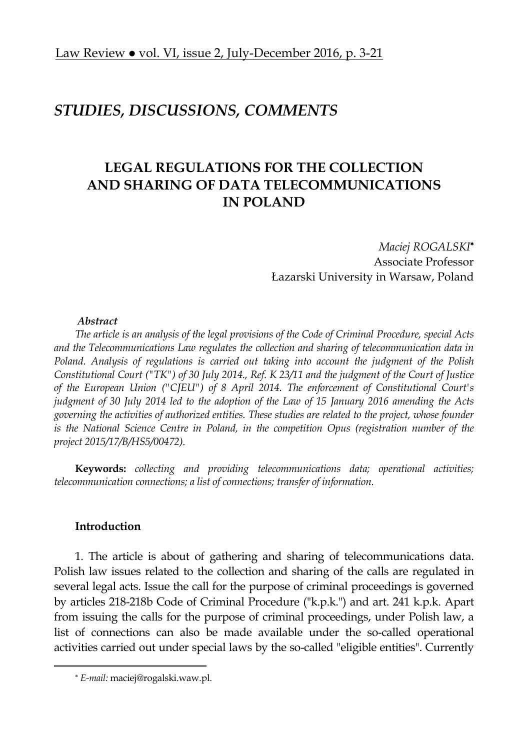# *STUDIES, DISCUSSIONS, COMMENTS*

# **LEGAL REGULATIONS FOR THE COLLECTION AND SHARING OF DATA TELECOMMUNICATIONS IN POLAND**

*Maciej ROGALSKI*  Associate Professor Łazarski University in Warsaw, Poland

#### *Abstract*

*The article is an analysis of the legal provisions of the Code of Criminal Procedure, special Acts and the Telecommunications Law regulates the collection and sharing of telecommunication data in Poland. Analysis of regulations is carried out taking into account the judgment of the Polish Constitutional Court ("TK") of 30 July 2014., Ref. K 23/11 and the judgment of the Court of Justice of the European Union ("CJEU") of 8 April 2014. The enforcement of Constitutional Court's judgment of 30 July 2014 led to the adoption of the Law of 15 January 2016 amending the Acts governing the activities of authorized entities. These studies are related to the project, whose founder is the National Science Centre in Poland, in the competition Opus (registration number of the project 2015/17/B/HS5/00472).* 

**Keywords:** *collecting and providing telecommunications data; operational activities; telecommunication connections; a list of connections; transfer of information.*

### **Introduction**

 $\overline{a}$ 

1. The article is about of gathering and sharing of telecommunications data. Polish law issues related to the collection and sharing of the calls are regulated in several legal acts. Issue the call for the purpose of criminal proceedings is governed by articles 218-218b Code of Criminal Procedure ("k.p.k.") and art. 241 k.p.k. Apart from issuing the calls for the purpose of criminal proceedings, under Polish law, a list of connections can also be made available under the so-called operational activities carried out under special laws by the so-called "eligible entities". Currently

*E-mail:* maciej@rogalski.waw.pl.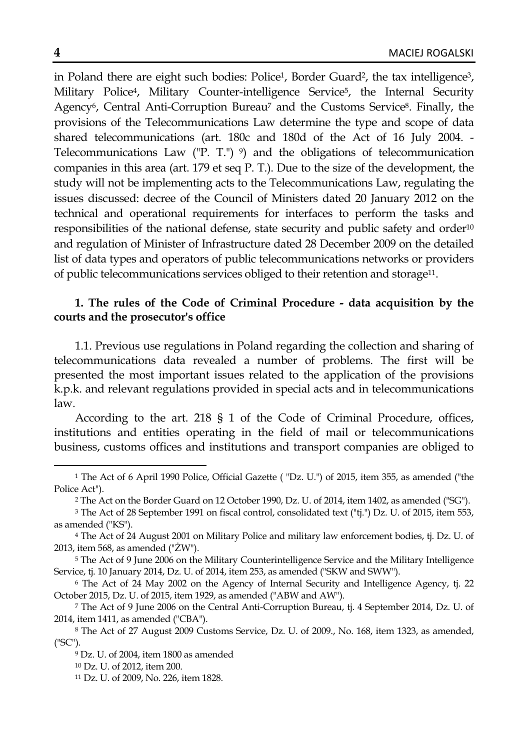in Poland there are eight such bodies: Police<sup>1</sup>, Border Guard<sup>2</sup>, the tax intelligence<sup>3</sup>, Military Police<sup>4</sup>, Military Counter-intelligence Service<sup>5</sup>, the Internal Security Agency<sup>6</sup>, Central Anti-Corruption Bureau<sup>7</sup> and the Customs Service<sup>8</sup>. Finally, the provisions of the Telecommunications Law determine the type and scope of data shared telecommunications (art. 180c and 180d of the Act of 16 July 2004. - Telecommunications Law ("P. T.") 9) and the obligations of telecommunication companies in this area (art. 179 et seq P. T.). Due to the size of the development, the study will not be implementing acts to the Telecommunications Law, regulating the issues discussed: decree of the Council of Ministers dated 20 January 2012 on the technical and operational requirements for interfaces to perform the tasks and responsibilities of the national defense, state security and public safety and order<sup>10</sup> and regulation of Minister of Infrastructure dated 28 December 2009 on the detailed list of data types and operators of public telecommunications networks or providers of public telecommunications services obliged to their retention and storage<sup>11</sup>.

## **1. The rules of the Code of Criminal Procedure - data acquisition by the courts and the prosecutor's office**

1.1. Previous use regulations in Poland regarding the collection and sharing of telecommunications data revealed a number of problems. The first will be presented the most important issues related to the application of the provisions k.p.k. and relevant regulations provided in special acts and in telecommunications law.

According to the art. 218 § 1 of the Code of Criminal Procedure, offices, institutions and entities operating in the field of mail or telecommunications business, customs offices and institutions and transport companies are obliged to

 $\overline{a}$ 

<sup>1</sup> The Act of 6 April 1990 Police, Official Gazette ( "Dz. U.") of 2015, item 355, as amended ("the Police Act").

<sup>2</sup> The Act on the Border Guard on 12 October 1990, Dz. U. of 2014, item 1402, as amended ("SG").

<sup>3</sup> The Act of 28 September 1991 on fiscal control, consolidated text ("tj.") Dz. U. of 2015, item 553, as amended ("KS").

<sup>4</sup> The Act of 24 August 2001 on Military Police and military law enforcement bodies, tj. Dz. U. of 2013, item 568, as amended ("ŻW").

<sup>5</sup> The Act of 9 June 2006 on the Military Counterintelligence Service and the Military Intelligence Service, tj. 10 January 2014, Dz. U. of 2014, item 253, as amended ("SKW and SWW").

<sup>6</sup> The Act of 24 May 2002 on the Agency of Internal Security and Intelligence Agency, tj. 22 October 2015, Dz. U. of 2015, item 1929, as amended ("ABW and AW").

<sup>7</sup> The Act of 9 June 2006 on the Central Anti-Corruption Bureau, tj. 4 September 2014, Dz. U. of 2014, item 1411, as amended ("CBA").

<sup>8</sup> The Act of 27 August 2009 Customs Service, Dz. U. of 2009., No. 168, item 1323, as amended, ("SC").

<sup>9</sup> Dz. U. of 2004, item 1800 as amended

<sup>10</sup> Dz. U. of 2012, item 200.

<sup>11</sup> Dz. U. of 2009, No. 226, item 1828.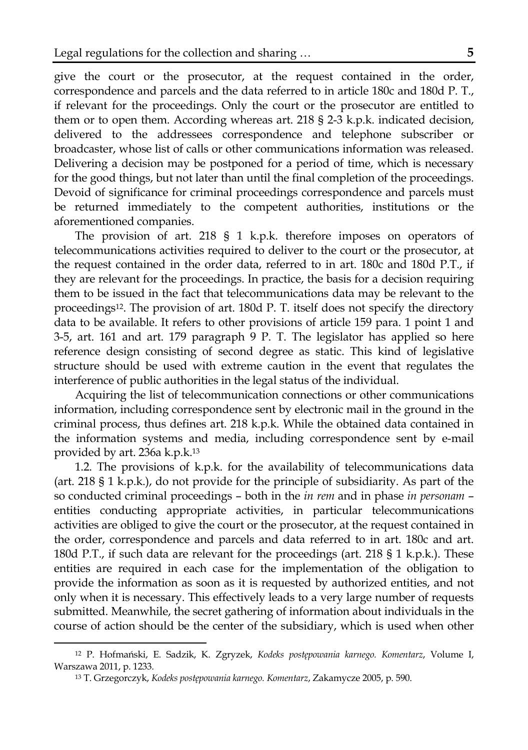give the court or the prosecutor, at the request contained in the order, correspondence and parcels and the data referred to in article 180c and 180d P. T., if relevant for the proceedings. Only the court or the prosecutor are entitled to them or to open them. According whereas art. 218 § 2-3 k.p.k. indicated decision, delivered to the addressees correspondence and telephone subscriber or broadcaster, whose list of calls or other communications information was released. Delivering a decision may be postponed for a period of time, which is necessary for the good things, but not later than until the final completion of the proceedings. Devoid of significance for criminal proceedings correspondence and parcels must be returned immediately to the competent authorities, institutions or the aforementioned companies.

The provision of art. 218 § 1 k.p.k. therefore imposes on operators of telecommunications activities required to deliver to the court or the prosecutor, at the request contained in the order data, referred to in art. 180c and 180d P.T., if they are relevant for the proceedings. In practice, the basis for a decision requiring them to be issued in the fact that telecommunications data may be relevant to the proceedings12. The provision of art. 180d P. T. itself does not specify the directory data to be available. It refers to other provisions of article 159 para. 1 point 1 and 3-5, art. 161 and art. 179 paragraph 9 P. T. The legislator has applied so here reference design consisting of second degree as static. This kind of legislative structure should be used with extreme caution in the event that regulates the interference of public authorities in the legal status of the individual.

Acquiring the list of telecommunication connections or other communications information, including correspondence sent by electronic mail in the ground in the criminal process, thus defines art. 218 k.p.k. While the obtained data contained in the information systems and media, including correspondence sent by e-mail provided by art. 236a k.p.k.13

1.2. The provisions of k.p.k. for the availability of telecommunications data (art. 218 § 1 k.p.k.), do not provide for the principle of subsidiarity. As part of the so conducted criminal proceedings – both in the *in rem* and in phase *in personam* – entities conducting appropriate activities, in particular telecommunications activities are obliged to give the court or the prosecutor, at the request contained in the order, correspondence and parcels and data referred to in art. 180c and art. 180d P.T., if such data are relevant for the proceedings (art. 218 § 1 k.p.k.). These entities are required in each case for the implementation of the obligation to provide the information as soon as it is requested by authorized entities, and not only when it is necessary. This effectively leads to a very large number of requests submitted. Meanwhile, the secret gathering of information about individuals in the course of action should be the center of the subsidiary, which is used when other

<sup>12</sup> P. Hofmański, E. Sadzik, K. Zgryzek, *Kodeks postępowania karnego. Komentarz*, Volume I, Warszawa 2011, p. 1233.

<sup>13</sup> T. Grzegorczyk, *Kodeks postępowania karnego. Komentarz*, Zakamycze 2005, p. 590.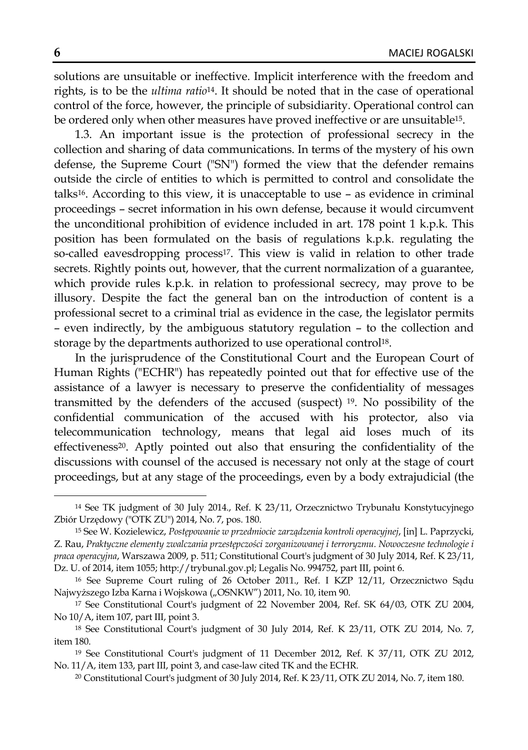solutions are unsuitable or ineffective. Implicit interference with the freedom and rights, is to be the *ultima ratio*14. It should be noted that in the case of operational control of the force, however, the principle of subsidiarity. Operational control can be ordered only when other measures have proved ineffective or are unsuitable15.

1.3. An important issue is the protection of professional secrecy in the collection and sharing of data communications. In terms of the mystery of his own defense, the Supreme Court ("SN") formed the view that the defender remains outside the circle of entities to which is permitted to control and consolidate the talks16. According to this view, it is unacceptable to use – as evidence in criminal proceedings – secret information in his own defense, because it would circumvent the unconditional prohibition of evidence included in art. 178 point 1 k.p.k. This position has been formulated on the basis of regulations k.p.k. regulating the so-called eavesdropping process<sup>17</sup>. This view is valid in relation to other trade secrets. Rightly points out, however, that the current normalization of a guarantee, which provide rules k.p.k. in relation to professional secrecy, may prove to be illusory. Despite the fact the general ban on the introduction of content is a professional secret to a criminal trial as evidence in the case, the legislator permits – even indirectly, by the ambiguous statutory regulation – to the collection and storage by the departments authorized to use operational control<sup>18</sup>.

In the jurisprudence of the Constitutional Court and the European Court of Human Rights ("ECHR") has repeatedly pointed out that for effective use of the assistance of a lawyer is necessary to preserve the confidentiality of messages transmitted by the defenders of the accused (suspect) 19. No possibility of the confidential communication of the accused with his protector, also via telecommunication technology, means that legal aid loses much of its effectiveness<sup>20</sup>. Aptly pointed out also that ensuring the confidentiality of the discussions with counsel of the accused is necessary not only at the stage of court proceedings, but at any stage of the proceedings, even by a body extrajudicial (the

<sup>14</sup> See TK judgment of 30 July 2014., Ref. K 23/11, Orzecznictwo Trybunału Konstytucyjnego Zbiór Urzędowy ("OTK ZU") 2014, No. 7, pos. 180.

<sup>15</sup> See W. Kozielewicz, *Postępowanie w przedmiocie zarządzenia kontroli operacyjnej*, [in] L. Paprzycki, Z. Rau, *Praktyczne elementy zwalczania przestępczości zorganizowanej i terroryzmu. Nowoczesne technologie i praca operacyjna*, Warszawa 2009, p. 511; Constitutional Court's judgment of 30 July 2014, Ref. K 23/11, Dz. U. of 2014, item 1055; http://trybunal.gov.pl; Legalis No. 994752, part III, point 6.

<sup>16</sup> See Supreme Court ruling of 26 October 2011., Ref. I KZP 12/11, Orzecznictwo Sądu Najwyższego Izba Karna i Wojskowa ("OSNKW") 2011, No. 10, item 90.

<sup>17</sup> See Constitutional Court's judgment of 22 November 2004, Ref. SK 64/03, OTK ZU 2004, No 10/A, item 107, part III, point 3.

<sup>18</sup> See Constitutional Court's judgment of 30 July 2014, Ref. K 23/11, OTK ZU 2014, No. 7, item 180.

<sup>19</sup> See Constitutional Court's judgment of 11 December 2012, Ref. K 37/11, OTK ZU 2012, No. 11/A, item 133, part III, point 3, and case-law cited TK and the ECHR.

<sup>20</sup> Constitutional Court's judgment of 30 July 2014, Ref. K 23/11, OTK ZU 2014, No. 7, item 180.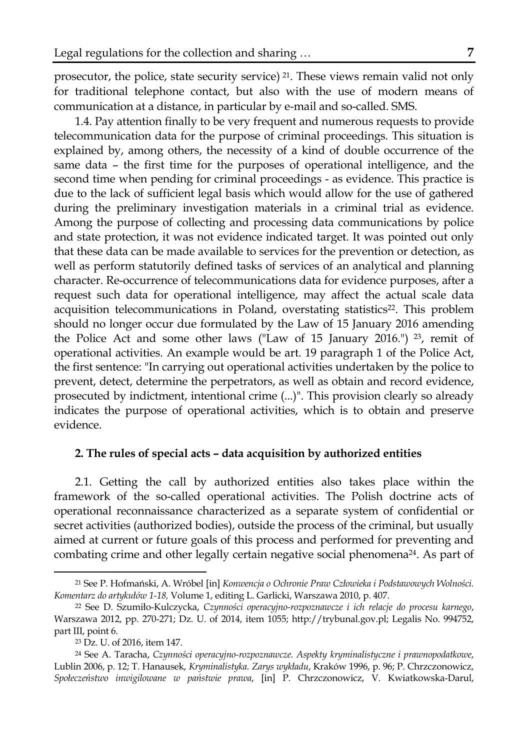prosecutor, the police, state security service) 21. These views remain valid not only for traditional telephone contact, but also with the use of modern means of communication at a distance, in particular by e-mail and so-called. SMS.

1.4. Pay attention finally to be very frequent and numerous requests to provide telecommunication data for the purpose of criminal proceedings. This situation is explained by, among others, the necessity of a kind of double occurrence of the same data – the first time for the purposes of operational intelligence, and the second time when pending for criminal proceedings - as evidence. This practice is due to the lack of sufficient legal basis which would allow for the use of gathered during the preliminary investigation materials in a criminal trial as evidence. Among the purpose of collecting and processing data communications by police and state protection, it was not evidence indicated target. It was pointed out only that these data can be made available to services for the prevention or detection, as well as perform statutorily defined tasks of services of an analytical and planning character. Re-occurrence of telecommunications data for evidence purposes, after a request such data for operational intelligence, may affect the actual scale data acquisition telecommunications in Poland, overstating statistics<sup>22</sup>. This problem should no longer occur due formulated by the Law of 15 January 2016 amending the Police Act and some other laws ("Law of 15 January 2016.")  $^{23}$ , remit of operational activities. An example would be art. 19 paragraph 1 of the Police Act, the first sentence: "In carrying out operational activities undertaken by the police to prevent, detect, determine the perpetrators, as well as obtain and record evidence, prosecuted by indictment, intentional crime (...)". This provision clearly so already indicates the purpose of operational activities, which is to obtain and preserve evidence.

#### **2. The rules of special acts – data acquisition by authorized entities**

2.1. Getting the call by authorized entities also takes place within the framework of the so-called operational activities. The Polish doctrine acts of operational reconnaissance characterized as a separate system of confidential or secret activities (authorized bodies), outside the process of the criminal, but usually aimed at current or future goals of this process and performed for preventing and combating crime and other legally certain negative social phenomena<sup>24</sup>. As part of

<sup>21</sup> See P. Hofmański, A. Wróbel [in] *Konwencja o Ochronie Praw Człowieka i Podstawowych Wolności. Komentarz do artykułów 1-18,* Volume 1, editing L. Garlicki, Warszawa 2010, p. 407.

<sup>22</sup> See D. Szumiło-Kulczycka, *Czynności operacyjno-rozpoznawcze i ich relacje do procesu karnego*, Warszawa 2012, pp. 270-271; Dz. U. of 2014, item 1055; http://trybunal.gov.pl; Legalis No. 994752, part III, point 6.

<sup>23</sup> Dz. U. of 2016, item 147.

<sup>24</sup> See A. Taracha, *Czynności operacyjno-rozpoznawcze. Aspekty kryminalistyczne i prawnopodatkowe*, Lublin 2006, p. 12; T. Hanausek, *Kryminalistyka. Zarys wykładu*, Kraków 1996, p. 96; P. Chrzczonowicz, *Społeczeństwo inwigilowane w państwie prawa*, [in] P. Chrzczonowicz, V. Kwiatkowska-Darul,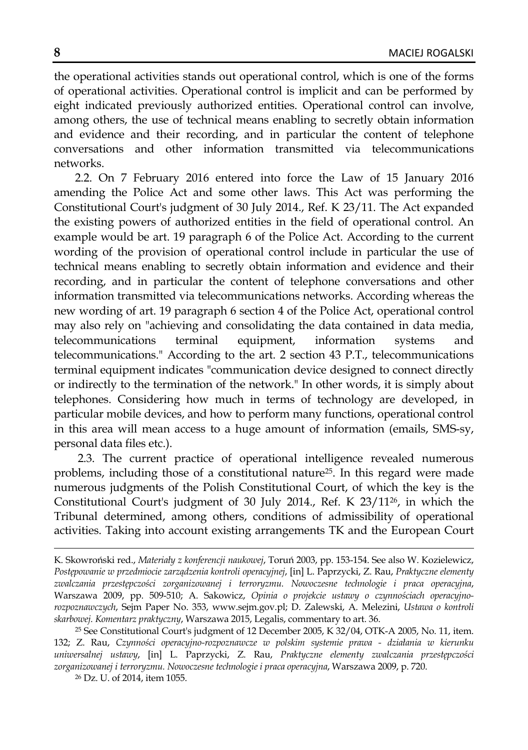the operational activities stands out operational control, which is one of the forms of operational activities. Operational control is implicit and can be performed by eight indicated previously authorized entities. Operational control can involve, among others, the use of technical means enabling to secretly obtain information and evidence and their recording, and in particular the content of telephone conversations and other information transmitted via telecommunications networks.

2.2. On 7 February 2016 entered into force the Law of 15 January 2016 amending the Police Act and some other laws. This Act was performing the Constitutional Court's judgment of 30 July 2014., Ref. K 23/11. The Act expanded the existing powers of authorized entities in the field of operational control. An example would be art. 19 paragraph 6 of the Police Act. According to the current wording of the provision of operational control include in particular the use of technical means enabling to secretly obtain information and evidence and their recording, and in particular the content of telephone conversations and other information transmitted via telecommunications networks. According whereas the new wording of art. 19 paragraph 6 section 4 of the Police Act, operational control may also rely on "achieving and consolidating the data contained in data media, telecommunications terminal equipment, information systems and telecommunications." According to the art. 2 section 43 P.T., telecommunications terminal equipment indicates "communication device designed to connect directly or indirectly to the termination of the network." In other words, it is simply about telephones. Considering how much in terms of technology are developed, in particular mobile devices, and how to perform many functions, operational control in this area will mean access to a huge amount of information (emails, SMS-sy, personal data files etc.).

 2.3. The current practice of operational intelligence revealed numerous problems, including those of a constitutional nature25. In this regard were made numerous judgments of the Polish Constitutional Court, of which the key is the Constitutional Court's judgment of 30 July 2014., Ref. K 23/1126, in which the Tribunal determined, among others, conditions of admissibility of operational activities. Taking into account existing arrangements TK and the European Court

26 Dz. U. of 2014, item 1055.

 $\overline{a}$ 

K. Skowroński red., *Materiały z konferencji naukowej*, Toruń 2003, pp. 153-154. See also W. Kozielewicz, *Postępowanie w przedmiocie zarządzenia kontroli operacyjnej*, [in] L. Paprzycki, Z. Rau, *Praktyczne elementy zwalczania przestępczości zorganizowanej i terroryzmu. Nowoczesne technologie i praca operacyjna*, Warszawa 2009, pp. 509-510; A. Sakowicz, *Opinia o projekcie ustawy o czynnościach operacyjnorozpoznawczych*, Sejm Paper No. 353, www.sejm.gov.pl; D. Zalewski, A. Melezini, *Ustawa o kontroli skarbowej. Komentarz praktyczny*, Warszawa 2015, Legalis, commentary to art. 36.

<sup>25</sup> See Constitutional Court's judgment of 12 December 2005, K 32/04, OTK-A 2005, No. 11, item. 132; Z. Rau, *Czynności operacyjno-rozpoznawcze w polskim systemie prawa - działania w kierunku uniwersalnej ustawy*, [in] L. Paprzycki, Z. Rau, *Praktyczne elementy zwalczania przestępczości zorganizowanej i terroryzmu. Nowoczesne technologie i praca operacyjna*, Warszawa 2009, p. 720.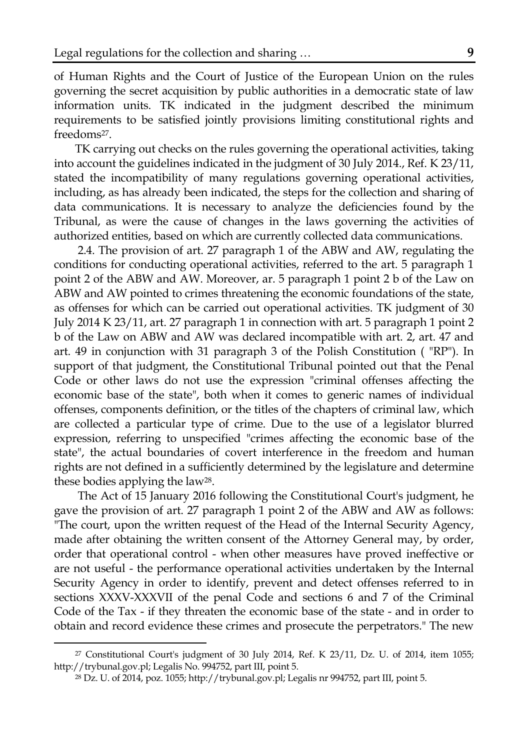of Human Rights and the Court of Justice of the European Union on the rules governing the secret acquisition by public authorities in a democratic state of law information units. TK indicated in the judgment described the minimum requirements to be satisfied jointly provisions limiting constitutional rights and freedoms27.

TK carrying out checks on the rules governing the operational activities, taking into account the guidelines indicated in the judgment of 30 July 2014., Ref. K 23/11, stated the incompatibility of many regulations governing operational activities, including, as has already been indicated, the steps for the collection and sharing of data communications. It is necessary to analyze the deficiencies found by the Tribunal, as were the cause of changes in the laws governing the activities of authorized entities, based on which are currently collected data communications.

 2.4. The provision of art. 27 paragraph 1 of the ABW and AW, regulating the conditions for conducting operational activities, referred to the art. 5 paragraph 1 point 2 of the ABW and AW. Moreover, ar. 5 paragraph 1 point 2 b of the Law on ABW and AW pointed to crimes threatening the economic foundations of the state, as offenses for which can be carried out operational activities. TK judgment of 30 July 2014 K 23/11, art. 27 paragraph 1 in connection with art. 5 paragraph 1 point 2 b of the Law on ABW and AW was declared incompatible with art. 2, art. 47 and art. 49 in conjunction with 31 paragraph 3 of the Polish Constitution ( "RP"). In support of that judgment, the Constitutional Tribunal pointed out that the Penal Code or other laws do not use the expression "criminal offenses affecting the economic base of the state", both when it comes to generic names of individual offenses, components definition, or the titles of the chapters of criminal law, which are collected a particular type of crime. Due to the use of a legislator blurred expression, referring to unspecified "crimes affecting the economic base of the state", the actual boundaries of covert interference in the freedom and human rights are not defined in a sufficiently determined by the legislature and determine these bodies applying the law28.

 The Act of 15 January 2016 following the Constitutional Court's judgment, he gave the provision of art. 27 paragraph 1 point 2 of the ABW and AW as follows: "The court, upon the written request of the Head of the Internal Security Agency, made after obtaining the written consent of the Attorney General may, by order, order that operational control - when other measures have proved ineffective or are not useful - the performance operational activities undertaken by the Internal Security Agency in order to identify, prevent and detect offenses referred to in sections XXXV-XXXVII of the penal Code and sections 6 and 7 of the Criminal Code of the Tax - if they threaten the economic base of the state - and in order to obtain and record evidence these crimes and prosecute the perpetrators." The new

<sup>27</sup> Constitutional Court's judgment of 30 July 2014, Ref. K 23/11, Dz. U. of 2014, item 1055; http://trybunal.gov.pl; Legalis No. 994752, part III, point 5.

<sup>28</sup> Dz. U. of 2014, poz. 1055; http://trybunal.gov.pl; Legalis nr 994752, part III, point 5.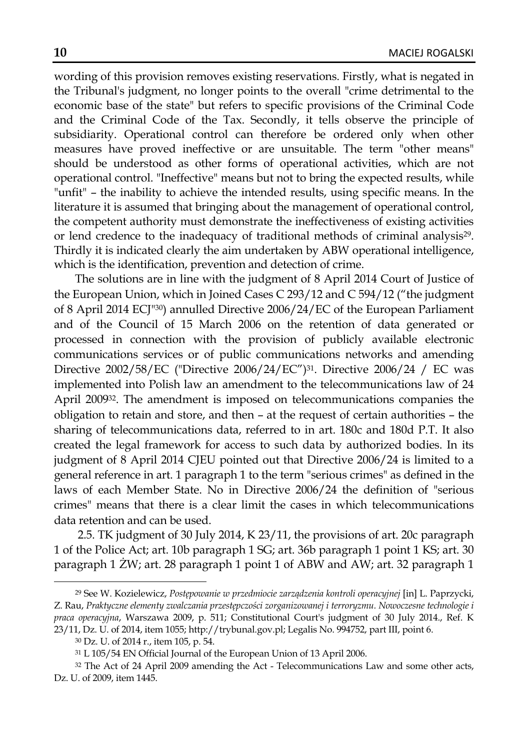wording of this provision removes existing reservations. Firstly, what is negated in the Tribunal's judgment, no longer points to the overall "crime detrimental to the economic base of the state" but refers to specific provisions of the Criminal Code and the Criminal Code of the Tax. Secondly, it tells observe the principle of subsidiarity. Operational control can therefore be ordered only when other measures have proved ineffective or are unsuitable. The term "other means" should be understood as other forms of operational activities, which are not operational control. "Ineffective" means but not to bring the expected results, while "unfit" – the inability to achieve the intended results, using specific means. In the literature it is assumed that bringing about the management of operational control, the competent authority must demonstrate the ineffectiveness of existing activities or lend credence to the inadequacy of traditional methods of criminal analysis29. Thirdly it is indicated clearly the aim undertaken by ABW operational intelligence, which is the identification, prevention and detection of crime.

The solutions are in line with the judgment of 8 April 2014 Court of Justice of the European Union, which in Joined Cases C 293/12 and C 594/12 ("the judgment of 8 April 2014 ECJ"30) annulled Directive 2006/24/EC of the European Parliament and of the Council of 15 March 2006 on the retention of data generated or processed in connection with the provision of publicly available electronic communications services or of public communications networks and amending Directive 2002/58/EC ("Directive 2006/24/EC")31. Directive 2006/24 / EC was implemented into Polish law an amendment to the telecommunications law of 24 April 200932. The amendment is imposed on telecommunications companies the obligation to retain and store, and then – at the request of certain authorities – the sharing of telecommunications data, referred to in art. 180c and 180d P.T. It also created the legal framework for access to such data by authorized bodies. In its judgment of 8 April 2014 CJEU pointed out that Directive 2006/24 is limited to a general reference in art. 1 paragraph 1 to the term "serious crimes" as defined in the laws of each Member State. No in Directive 2006/24 the definition of "serious crimes" means that there is a clear limit the cases in which telecommunications data retention and can be used.

 2.5. TK judgment of 30 July 2014, K 23/11, the provisions of art. 20c paragraph 1 of the Police Act; art. 10b paragraph 1 SG; art. 36b paragraph 1 point 1 KS; art. 30 paragraph 1 ŻW; art. 28 paragraph 1 point 1 of ABW and AW; art. 32 paragraph 1

<sup>29</sup> See W. Kozielewicz, *Postępowanie w przedmiocie zarządzenia kontroli operacyjnej* [in] L. Paprzycki, Z. Rau, *Praktyczne elementy zwalczania przestępczości zorganizowanej i terroryzmu. Nowoczesne technologie i praca operacyjna*, Warszawa 2009, p. 511; Constitutional Court's judgment of 30 July 2014., Ref. K 23/11, Dz. U. of 2014, item 1055; http://trybunal.gov.pl; Legalis No. 994752, part III, point 6.

<sup>30</sup> Dz. U. of 2014 r., item 105, p. 54.

<sup>31</sup> L 105/54 EN Official Journal of the European Union of 13 April 2006.

<sup>32</sup> The Act of 24 April 2009 amending the Act - Telecommunications Law and some other acts, Dz. U. of 2009, item 1445.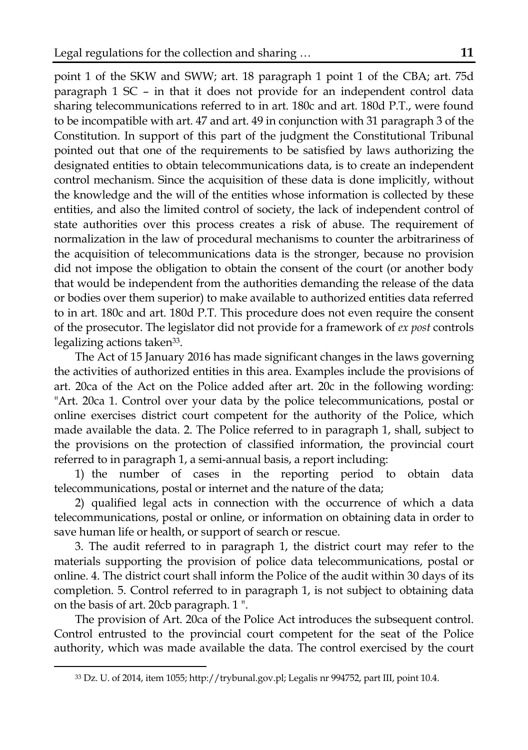point 1 of the SKW and SWW; art. 18 paragraph 1 point 1 of the CBA; art. 75d paragraph 1 SC – in that it does not provide for an independent control data sharing telecommunications referred to in art. 180c and art. 180d P.T., were found to be incompatible with art. 47 and art. 49 in conjunction with 31 paragraph 3 of the Constitution. In support of this part of the judgment the Constitutional Tribunal pointed out that one of the requirements to be satisfied by laws authorizing the designated entities to obtain telecommunications data, is to create an independent control mechanism. Since the acquisition of these data is done implicitly, without the knowledge and the will of the entities whose information is collected by these entities, and also the limited control of society, the lack of independent control of state authorities over this process creates a risk of abuse. The requirement of normalization in the law of procedural mechanisms to counter the arbitrariness of the acquisition of telecommunications data is the stronger, because no provision did not impose the obligation to obtain the consent of the court (or another body that would be independent from the authorities demanding the release of the data or bodies over them superior) to make available to authorized entities data referred to in art. 180c and art. 180d P.T. This procedure does not even require the consent of the prosecutor. The legislator did not provide for a framework of *ex post* controls legalizing actions taken<sup>33</sup>.

The Act of 15 January 2016 has made significant changes in the laws governing the activities of authorized entities in this area. Examples include the provisions of art. 20ca of the Act on the Police added after art. 20c in the following wording: "Art. 20ca 1. Control over your data by the police telecommunications, postal or online exercises district court competent for the authority of the Police, which made available the data. 2. The Police referred to in paragraph 1, shall, subject to the provisions on the protection of classified information, the provincial court referred to in paragraph 1, a semi-annual basis, a report including:

1) the number of cases in the reporting period to obtain data telecommunications, postal or internet and the nature of the data;

2) qualified legal acts in connection with the occurrence of which a data telecommunications, postal or online, or information on obtaining data in order to save human life or health, or support of search or rescue.

3. The audit referred to in paragraph 1, the district court may refer to the materials supporting the provision of police data telecommunications, postal or online. 4. The district court shall inform the Police of the audit within 30 days of its completion. 5. Control referred to in paragraph 1, is not subject to obtaining data on the basis of art. 20cb paragraph. 1 ".

The provision of Art. 20ca of the Police Act introduces the subsequent control. Control entrusted to the provincial court competent for the seat of the Police authority, which was made available the data. The control exercised by the court

<sup>33</sup> Dz. U. of 2014, item 1055; http://trybunal.gov.pl; Legalis nr 994752, part III, point 10.4.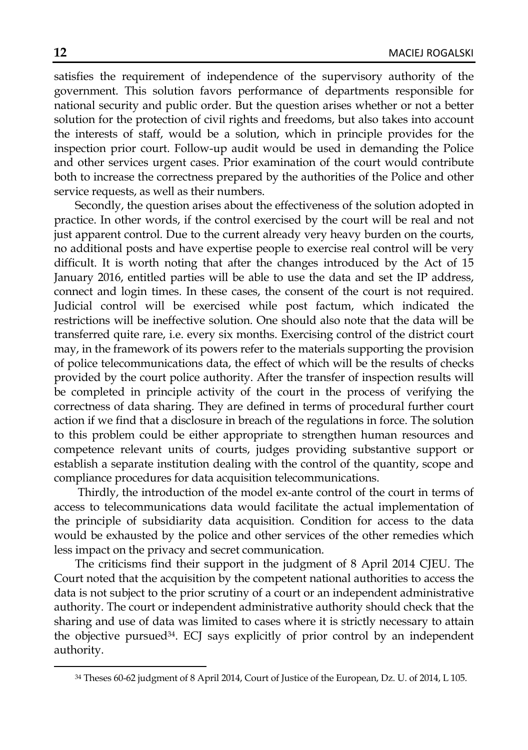satisfies the requirement of independence of the supervisory authority of the government. This solution favors performance of departments responsible for national security and public order. But the question arises whether or not a better solution for the protection of civil rights and freedoms, but also takes into account the interests of staff, would be a solution, which in principle provides for the inspection prior court. Follow-up audit would be used in demanding the Police and other services urgent cases. Prior examination of the court would contribute both to increase the correctness prepared by the authorities of the Police and other service requests, as well as their numbers.

Secondly, the question arises about the effectiveness of the solution adopted in practice. In other words, if the control exercised by the court will be real and not just apparent control. Due to the current already very heavy burden on the courts, no additional posts and have expertise people to exercise real control will be very difficult. It is worth noting that after the changes introduced by the Act of 15 January 2016, entitled parties will be able to use the data and set the IP address, connect and login times. In these cases, the consent of the court is not required. Judicial control will be exercised while post factum, which indicated the restrictions will be ineffective solution. One should also note that the data will be transferred quite rare, i.e. every six months. Exercising control of the district court may, in the framework of its powers refer to the materials supporting the provision of police telecommunications data, the effect of which will be the results of checks provided by the court police authority. After the transfer of inspection results will be completed in principle activity of the court in the process of verifying the correctness of data sharing. They are defined in terms of procedural further court action if we find that a disclosure in breach of the regulations in force. The solution to this problem could be either appropriate to strengthen human resources and competence relevant units of courts, judges providing substantive support or establish a separate institution dealing with the control of the quantity, scope and compliance procedures for data acquisition telecommunications.

 Thirdly, the introduction of the model ex-ante control of the court in terms of access to telecommunications data would facilitate the actual implementation of the principle of subsidiarity data acquisition. Condition for access to the data would be exhausted by the police and other services of the other remedies which less impact on the privacy and secret communication.

The criticisms find their support in the judgment of 8 April 2014 CJEU. The Court noted that the acquisition by the competent national authorities to access the data is not subject to the prior scrutiny of a court or an independent administrative authority. The court or independent administrative authority should check that the sharing and use of data was limited to cases where it is strictly necessary to attain the objective pursued34. ECJ says explicitly of prior control by an independent authority.

<sup>34</sup> Theses 60-62 judgment of 8 April 2014, Court of Justice of the European, Dz. U. of 2014, L 105.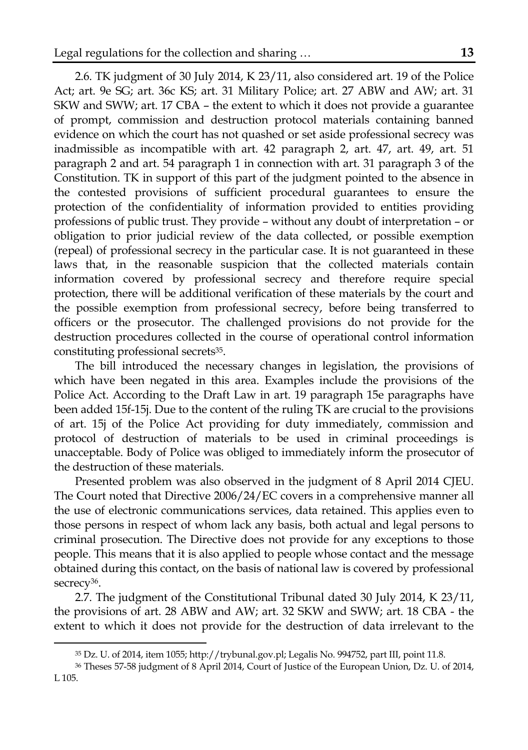2.6. TK judgment of 30 July 2014, K 23/11, also considered art. 19 of the Police Act; art. 9e SG; art. 36c KS; art. 31 Military Police; art. 27 ABW and AW; art. 31 SKW and SWW; art. 17 CBA – the extent to which it does not provide a guarantee of prompt, commission and destruction protocol materials containing banned evidence on which the court has not quashed or set aside professional secrecy was inadmissible as incompatible with art. 42 paragraph 2, art. 47, art. 49, art. 51 paragraph 2 and art. 54 paragraph 1 in connection with art. 31 paragraph 3 of the Constitution. TK in support of this part of the judgment pointed to the absence in the contested provisions of sufficient procedural guarantees to ensure the protection of the confidentiality of information provided to entities providing professions of public trust. They provide – without any doubt of interpretation – or obligation to prior judicial review of the data collected, or possible exemption (repeal) of professional secrecy in the particular case. It is not guaranteed in these laws that, in the reasonable suspicion that the collected materials contain information covered by professional secrecy and therefore require special protection, there will be additional verification of these materials by the court and the possible exemption from professional secrecy, before being transferred to officers or the prosecutor. The challenged provisions do not provide for the destruction procedures collected in the course of operational control information constituting professional secrets<sup>35</sup>.

The bill introduced the necessary changes in legislation, the provisions of which have been negated in this area. Examples include the provisions of the Police Act. According to the Draft Law in art. 19 paragraph 15e paragraphs have been added 15f-15j. Due to the content of the ruling TK are crucial to the provisions of art. 15j of the Police Act providing for duty immediately, commission and protocol of destruction of materials to be used in criminal proceedings is unacceptable. Body of Police was obliged to immediately inform the prosecutor of the destruction of these materials.

Presented problem was also observed in the judgment of 8 April 2014 CJEU. The Court noted that Directive 2006/24/EC covers in a comprehensive manner all the use of electronic communications services, data retained. This applies even to those persons in respect of whom lack any basis, both actual and legal persons to criminal prosecution. The Directive does not provide for any exceptions to those people. This means that it is also applied to people whose contact and the message obtained during this contact, on the basis of national law is covered by professional secrecy<sup>36</sup>.

2.7. The judgment of the Constitutional Tribunal dated 30 July 2014, K 23/11, the provisions of art. 28 ABW and AW; art. 32 SKW and SWW; art. 18 CBA - the extent to which it does not provide for the destruction of data irrelevant to the

<sup>35</sup> Dz. U. of 2014, item 1055; http://trybunal.gov.pl; Legalis No. 994752, part III, point 11.8.

<sup>36</sup> Theses 57-58 judgment of 8 April 2014, Court of Justice of the European Union, Dz. U. of 2014, L 105.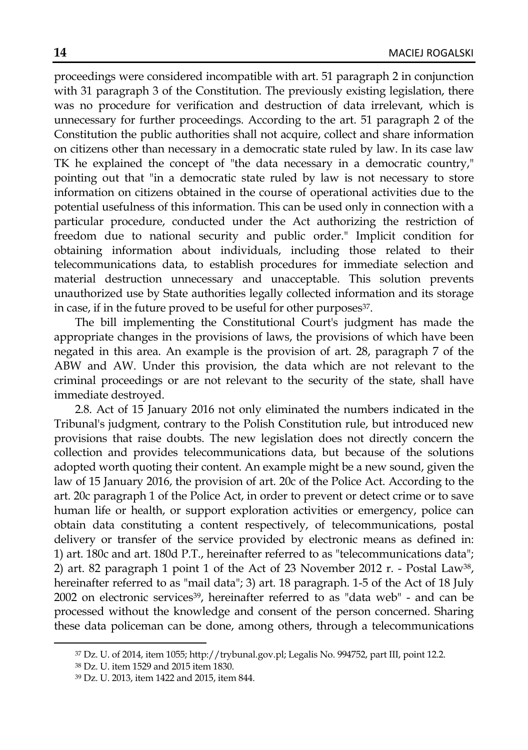proceedings were considered incompatible with art. 51 paragraph 2 in conjunction with 31 paragraph 3 of the Constitution. The previously existing legislation, there was no procedure for verification and destruction of data irrelevant, which is unnecessary for further proceedings. According to the art. 51 paragraph 2 of the Constitution the public authorities shall not acquire, collect and share information on citizens other than necessary in a democratic state ruled by law. In its case law TK he explained the concept of "the data necessary in a democratic country," pointing out that "in a democratic state ruled by law is not necessary to store information on citizens obtained in the course of operational activities due to the potential usefulness of this information. This can be used only in connection with a particular procedure, conducted under the Act authorizing the restriction of freedom due to national security and public order." Implicit condition for obtaining information about individuals, including those related to their telecommunications data, to establish procedures for immediate selection and material destruction unnecessary and unacceptable. This solution prevents unauthorized use by State authorities legally collected information and its storage in case, if in the future proved to be useful for other purposes<sup>37</sup>.

The bill implementing the Constitutional Court's judgment has made the appropriate changes in the provisions of laws, the provisions of which have been negated in this area. An example is the provision of art. 28, paragraph 7 of the ABW and AW. Under this provision, the data which are not relevant to the criminal proceedings or are not relevant to the security of the state, shall have immediate destroyed.

2.8. Act of 15 January 2016 not only eliminated the numbers indicated in the Tribunal's judgment, contrary to the Polish Constitution rule, but introduced new provisions that raise doubts. The new legislation does not directly concern the collection and provides telecommunications data, but because of the solutions adopted worth quoting their content. An example might be a new sound, given the law of 15 January 2016, the provision of art. 20c of the Police Act. According to the art. 20c paragraph 1 of the Police Act, in order to prevent or detect crime or to save human life or health, or support exploration activities or emergency, police can obtain data constituting a content respectively, of telecommunications, postal delivery or transfer of the service provided by electronic means as defined in: 1) art. 180c and art. 180d P.T., hereinafter referred to as "telecommunications data"; 2) art. 82 paragraph 1 point 1 of the Act of 23 November 2012 r. - Postal Law38, hereinafter referred to as "mail data"; 3) art. 18 paragraph. 1-5 of the Act of 18 July 2002 on electronic services39, hereinafter referred to as "data web" - and can be processed without the knowledge and consent of the person concerned. Sharing these data policeman can be done, among others, through a telecommunications

<sup>37</sup> Dz. U. of 2014, item 1055; http://trybunal.gov.pl; Legalis No. 994752, part III, point 12.2.

<sup>38</sup> Dz. U. item 1529 and 2015 item 1830.

<sup>39</sup> Dz. U. 2013, item 1422 and 2015, item 844.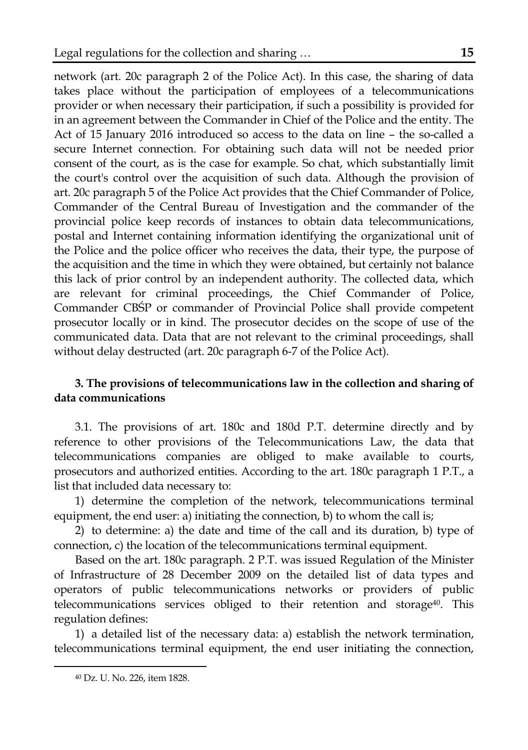network (art. 20c paragraph 2 of the Police Act). In this case, the sharing of data takes place without the participation of employees of a telecommunications provider or when necessary their participation, if such a possibility is provided for in an agreement between the Commander in Chief of the Police and the entity. The Act of 15 January 2016 introduced so access to the data on line – the so-called a secure Internet connection. For obtaining such data will not be needed prior consent of the court, as is the case for example. So chat, which substantially limit the court's control over the acquisition of such data. Although the provision of art. 20c paragraph 5 of the Police Act provides that the Chief Commander of Police, Commander of the Central Bureau of Investigation and the commander of the provincial police keep records of instances to obtain data telecommunications, postal and Internet containing information identifying the organizational unit of the Police and the police officer who receives the data, their type, the purpose of the acquisition and the time in which they were obtained, but certainly not balance this lack of prior control by an independent authority. The collected data, which are relevant for criminal proceedings, the Chief Commander of Police, Commander CBŚP or commander of Provincial Police shall provide competent prosecutor locally or in kind. The prosecutor decides on the scope of use of the communicated data. Data that are not relevant to the criminal proceedings, shall without delay destructed (art. 20c paragraph 6-7 of the Police Act).

## **3. The provisions of telecommunications law in the collection and sharing of data communications**

3.1. The provisions of art. 180c and 180d P.T. determine directly and by reference to other provisions of the Telecommunications Law, the data that telecommunications companies are obliged to make available to courts, prosecutors and authorized entities. According to the art. 180c paragraph 1 P.T., a list that included data necessary to:

1) determine the completion of the network, telecommunications terminal equipment, the end user: a) initiating the connection, b) to whom the call is;

2) to determine: a) the date and time of the call and its duration, b) type of connection, c) the location of the telecommunications terminal equipment.

Based on the art. 180c paragraph. 2 P.T. was issued Regulation of the Minister of Infrastructure of 28 December 2009 on the detailed list of data types and operators of public telecommunications networks or providers of public telecommunications services obliged to their retention and storage40. This regulation defines:

1) a detailed list of the necessary data: a) establish the network termination, telecommunications terminal equipment, the end user initiating the connection,

<sup>40</sup> Dz. U. No. 226, item 1828.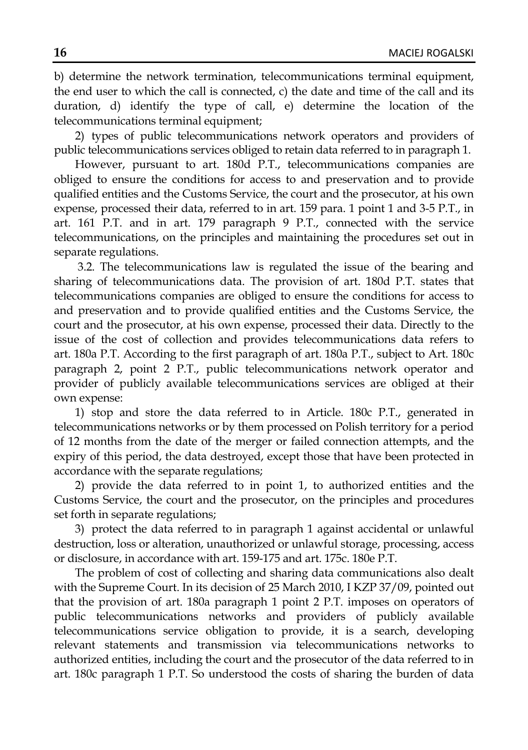b) determine the network termination, telecommunications terminal equipment, the end user to which the call is connected, c) the date and time of the call and its duration, d) identify the type of call, e) determine the location of the telecommunications terminal equipment;

2) types of public telecommunications network operators and providers of public telecommunications services obliged to retain data referred to in paragraph 1.

However, pursuant to art. 180d P.T., telecommunications companies are obliged to ensure the conditions for access to and preservation and to provide qualified entities and the Customs Service, the court and the prosecutor, at his own expense, processed their data, referred to in art. 159 para. 1 point 1 and 3-5 P.T., in art. 161 P.T. and in art. 179 paragraph 9 P.T., connected with the service telecommunications, on the principles and maintaining the procedures set out in separate regulations.

 3.2. The telecommunications law is regulated the issue of the bearing and sharing of telecommunications data. The provision of art. 180d P.T. states that telecommunications companies are obliged to ensure the conditions for access to and preservation and to provide qualified entities and the Customs Service, the court and the prosecutor, at his own expense, processed their data. Directly to the issue of the cost of collection and provides telecommunications data refers to art. 180a P.T. According to the first paragraph of art. 180a P.T., subject to Art. 180c paragraph 2, point 2 P.T., public telecommunications network operator and provider of publicly available telecommunications services are obliged at their own expense:

1) stop and store the data referred to in Article. 180c P.T., generated in telecommunications networks or by them processed on Polish territory for a period of 12 months from the date of the merger or failed connection attempts, and the expiry of this period, the data destroyed, except those that have been protected in accordance with the separate regulations;

2) provide the data referred to in point 1, to authorized entities and the Customs Service, the court and the prosecutor, on the principles and procedures set forth in separate regulations;

3) protect the data referred to in paragraph 1 against accidental or unlawful destruction, loss or alteration, unauthorized or unlawful storage, processing, access or disclosure, in accordance with art. 159-175 and art. 175c. 180e P.T.

The problem of cost of collecting and sharing data communications also dealt with the Supreme Court. In its decision of 25 March 2010, I KZP 37/09, pointed out that the provision of art. 180a paragraph 1 point 2 P.T. imposes on operators of public telecommunications networks and providers of publicly available telecommunications service obligation to provide, it is a search, developing relevant statements and transmission via telecommunications networks to authorized entities, including the court and the prosecutor of the data referred to in art. 180c paragraph 1 P.T. So understood the costs of sharing the burden of data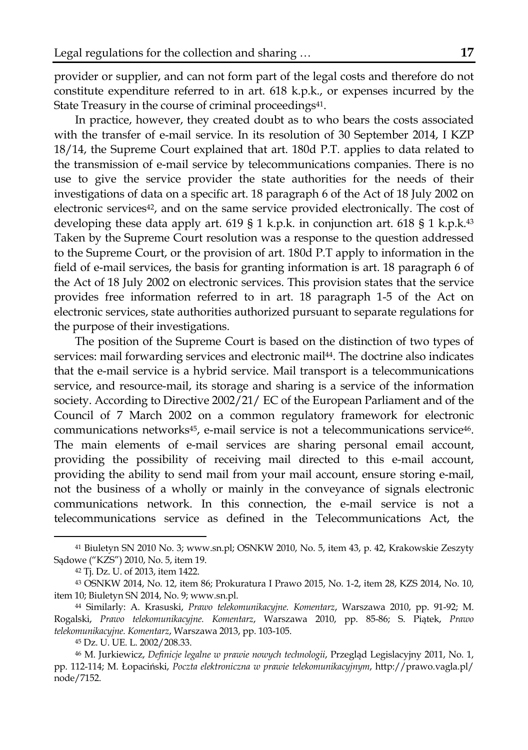provider or supplier, and can not form part of the legal costs and therefore do not constitute expenditure referred to in art. 618 k.p.k., or expenses incurred by the State Treasury in the course of criminal proceedings<sup>41</sup>.

In practice, however, they created doubt as to who bears the costs associated with the transfer of e-mail service. In its resolution of 30 September 2014, I KZP 18/14, the Supreme Court explained that art. 180d P.T. applies to data related to the transmission of e-mail service by telecommunications companies. There is no use to give the service provider the state authorities for the needs of their investigations of data on a specific art. 18 paragraph 6 of the Act of 18 July 2002 on electronic services<sup>42</sup>, and on the same service provided electronically. The cost of developing these data apply art. 619 § 1 k.p.k. in conjunction art. 618 § 1 k.p.k.<sup>43</sup> Taken by the Supreme Court resolution was a response to the question addressed to the Supreme Court, or the provision of art. 180d P.T apply to information in the field of e-mail services, the basis for granting information is art. 18 paragraph 6 of the Act of 18 July 2002 on electronic services. This provision states that the service provides free information referred to in art. 18 paragraph 1-5 of the Act on electronic services, state authorities authorized pursuant to separate regulations for the purpose of their investigations.

The position of the Supreme Court is based on the distinction of two types of services: mail forwarding services and electronic mail<sup>44</sup>. The doctrine also indicates that the e-mail service is a hybrid service. Mail transport is a telecommunications service, and resource-mail, its storage and sharing is a service of the information society. According to Directive 2002/21/ EC of the European Parliament and of the Council of 7 March 2002 on a common regulatory framework for electronic communications networks45, e-mail service is not a telecommunications service46. The main elements of e-mail services are sharing personal email account, providing the possibility of receiving mail directed to this e-mail account, providing the ability to send mail from your mail account, ensure storing e-mail, not the business of a wholly or mainly in the conveyance of signals electronic communications network. In this connection, the e-mail service is not a telecommunications service as defined in the Telecommunications Act, the

l

<sup>41</sup> Biuletyn SN 2010 No. 3; www.sn.pl; OSNKW 2010, No. 5, item 43, p. 42, Krakowskie Zeszyty Sądowe ("KZS") 2010, No. 5, item 19.

<sup>42</sup> Tj. Dz. U. of 2013, item 1422.

<sup>43</sup> OSNKW 2014, No. 12, item 86; Prokuratura I Prawo 2015, No. 1-2, item 28, KZS 2014, No. 10, item 10; Biuletyn SN 2014, No. 9; www.sn.pl.

<sup>44</sup> Similarly: A. Krasuski, *Prawo telekomunikacyjne. Komentarz*, Warszawa 2010, pp. 91-92; M. Rogalski, *Prawo telekomunikacyjne. Komentarz*, Warszawa 2010, pp. 85-86; S. Piątek, *Prawo telekomunikacyjne. Komentarz*, Warszawa 2013, pp. 103-105.

<sup>45</sup> Dz. U. UE. L. 2002/208.33.

<sup>46</sup> M. Jurkiewicz, *Definicje legalne w prawie nowych technologii*, Przegląd Legislacyjny 2011, No. 1, pp. 112-114; M. Łopaciński, *Poczta elektroniczna w prawie telekomunikacyjnym*, http://prawo.vagla.pl/ node/7152.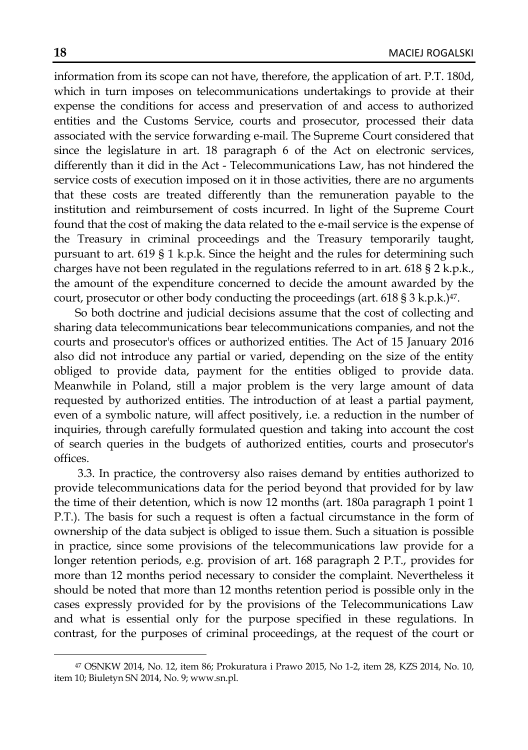information from its scope can not have, therefore, the application of art. P.T. 180d, which in turn imposes on telecommunications undertakings to provide at their expense the conditions for access and preservation of and access to authorized entities and the Customs Service, courts and prosecutor, processed their data associated with the service forwarding e-mail. The Supreme Court considered that since the legislature in art. 18 paragraph 6 of the Act on electronic services, differently than it did in the Act - Telecommunications Law, has not hindered the service costs of execution imposed on it in those activities, there are no arguments that these costs are treated differently than the remuneration payable to the institution and reimbursement of costs incurred. In light of the Supreme Court found that the cost of making the data related to the e-mail service is the expense of the Treasury in criminal proceedings and the Treasury temporarily taught, pursuant to art. 619 § 1 k.p.k. Since the height and the rules for determining such charges have not been regulated in the regulations referred to in art. 618 § 2 k.p.k., the amount of the expenditure concerned to decide the amount awarded by the court, prosecutor or other body conducting the proceedings (art. 618 § 3 k.p.k.)<sup>47</sup>.

So both doctrine and judicial decisions assume that the cost of collecting and sharing data telecommunications bear telecommunications companies, and not the courts and prosecutor's offices or authorized entities. The Act of 15 January 2016 also did not introduce any partial or varied, depending on the size of the entity obliged to provide data, payment for the entities obliged to provide data. Meanwhile in Poland, still a major problem is the very large amount of data requested by authorized entities. The introduction of at least a partial payment, even of a symbolic nature, will affect positively, i.e. a reduction in the number of inquiries, through carefully formulated question and taking into account the cost of search queries in the budgets of authorized entities, courts and prosecutor's offices.

 3.3. In practice, the controversy also raises demand by entities authorized to provide telecommunications data for the period beyond that provided for by law the time of their detention, which is now 12 months (art. 180a paragraph 1 point 1 P.T.). The basis for such a request is often a factual circumstance in the form of ownership of the data subject is obliged to issue them. Such a situation is possible in practice, since some provisions of the telecommunications law provide for a longer retention periods, e.g. provision of art. 168 paragraph 2 P.T., provides for more than 12 months period necessary to consider the complaint. Nevertheless it should be noted that more than 12 months retention period is possible only in the cases expressly provided for by the provisions of the Telecommunications Law and what is essential only for the purpose specified in these regulations. In contrast, for the purposes of criminal proceedings, at the request of the court or

<sup>47</sup> OSNKW 2014, No. 12, item 86; Prokuratura i Prawo 2015, No 1-2, item 28, KZS 2014, No. 10, item 10; Biuletyn SN 2014, No. 9; www.sn.pl.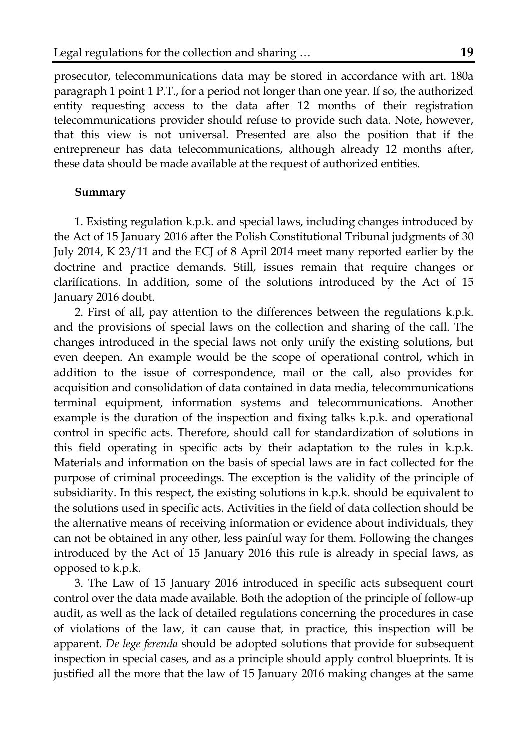prosecutor, telecommunications data may be stored in accordance with art. 180a paragraph 1 point 1 P.T., for a period not longer than one year. If so, the authorized entity requesting access to the data after 12 months of their registration telecommunications provider should refuse to provide such data. Note, however, that this view is not universal. Presented are also the position that if the entrepreneur has data telecommunications, although already 12 months after, these data should be made available at the request of authorized entities.

### **Summary**

1. Existing regulation k.p.k. and special laws, including changes introduced by the Act of 15 January 2016 after the Polish Constitutional Tribunal judgments of 30 July 2014, K 23/11 and the ECJ of 8 April 2014 meet many reported earlier by the doctrine and practice demands. Still, issues remain that require changes or clarifications. In addition, some of the solutions introduced by the Act of 15 January 2016 doubt.

2. First of all, pay attention to the differences between the regulations k.p.k. and the provisions of special laws on the collection and sharing of the call. The changes introduced in the special laws not only unify the existing solutions, but even deepen. An example would be the scope of operational control, which in addition to the issue of correspondence, mail or the call, also provides for acquisition and consolidation of data contained in data media, telecommunications terminal equipment, information systems and telecommunications. Another example is the duration of the inspection and fixing talks k.p.k. and operational control in specific acts. Therefore, should call for standardization of solutions in this field operating in specific acts by their adaptation to the rules in k.p.k. Materials and information on the basis of special laws are in fact collected for the purpose of criminal proceedings. The exception is the validity of the principle of subsidiarity. In this respect, the existing solutions in k.p.k. should be equivalent to the solutions used in specific acts. Activities in the field of data collection should be the alternative means of receiving information or evidence about individuals, they can not be obtained in any other, less painful way for them. Following the changes introduced by the Act of 15 January 2016 this rule is already in special laws, as opposed to k.p.k.

3. The Law of 15 January 2016 introduced in specific acts subsequent court control over the data made available. Both the adoption of the principle of follow-up audit, as well as the lack of detailed regulations concerning the procedures in case of violations of the law, it can cause that, in practice, this inspection will be apparent. *De lege ferenda* should be adopted solutions that provide for subsequent inspection in special cases, and as a principle should apply control blueprints. It is justified all the more that the law of 15 January 2016 making changes at the same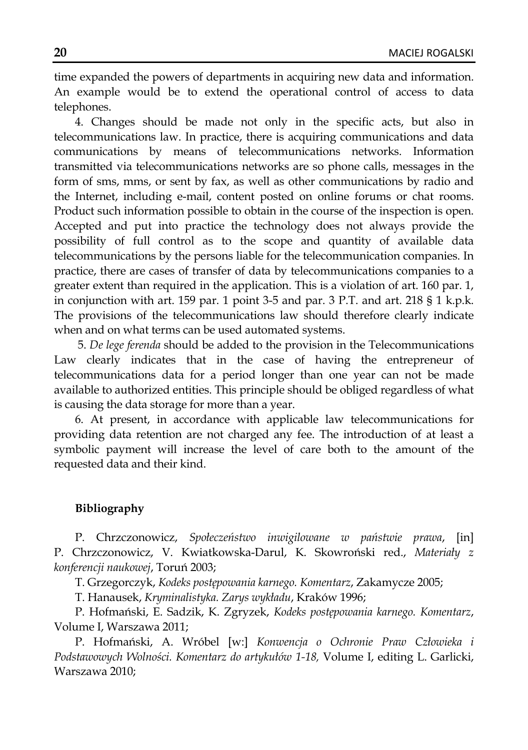time expanded the powers of departments in acquiring new data and information. An example would be to extend the operational control of access to data telephones.

4. Changes should be made not only in the specific acts, but also in telecommunications law. In practice, there is acquiring communications and data communications by means of telecommunications networks. Information transmitted via telecommunications networks are so phone calls, messages in the form of sms, mms, or sent by fax, as well as other communications by radio and the Internet, including e-mail, content posted on online forums or chat rooms. Product such information possible to obtain in the course of the inspection is open. Accepted and put into practice the technology does not always provide the possibility of full control as to the scope and quantity of available data telecommunications by the persons liable for the telecommunication companies. In practice, there are cases of transfer of data by telecommunications companies to a greater extent than required in the application. This is a violation of art. 160 par. 1, in conjunction with art. 159 par. 1 point 3-5 and par. 3 P.T. and art. 218 § 1 k.p.k. The provisions of the telecommunications law should therefore clearly indicate when and on what terms can be used automated systems.

 5. *De lege ferenda* should be added to the provision in the Telecommunications Law clearly indicates that in the case of having the entrepreneur of telecommunications data for a period longer than one year can not be made available to authorized entities. This principle should be obliged regardless of what is causing the data storage for more than a year.

6. At present, in accordance with applicable law telecommunications for providing data retention are not charged any fee. The introduction of at least a symbolic payment will increase the level of care both to the amount of the requested data and their kind.

## **Bibliography**

P. Chrzczonowicz, *Społeczeństwo inwigilowane w państwie prawa*, [in] P. Chrzczonowicz, V. Kwiatkowska-Darul, K. Skowroński red., *Materiały z konferencji naukowej*, Toruń 2003;

T. Grzegorczyk, *Kodeks postępowania karnego. Komentarz*, Zakamycze 2005;

T. Hanausek, *Kryminalistyka. Zarys wykładu*, Kraków 1996;

P. Hofmański, E. Sadzik, K. Zgryzek, *Kodeks postępowania karnego. Komentarz*, Volume I, Warszawa 2011;

P. Hofmański, A. Wróbel [w:] *Konwencja o Ochronie Praw Człowieka i Podstawowych Wolności. Komentarz do artykułów 1-18,* Volume I, editing L. Garlicki, Warszawa 2010;